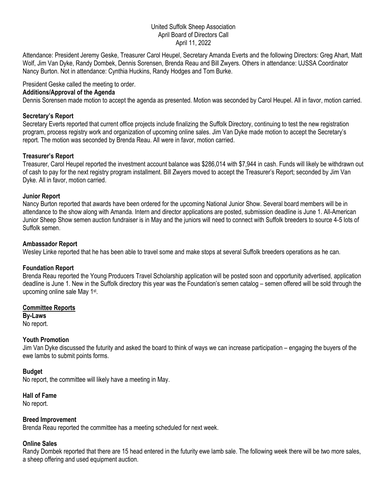#### United Suffolk Sheep Association April Board of Directors Call April 11, 2022

Attendance: President Jeremy Geske, Treasurer Carol Heupel, Secretary Amanda Everts and the following Directors: Greg Ahart, Matt Wolf, Jim Van Dyke, Randy Dombek, Dennis Sorensen, Brenda Reau and Bill Zwyers. Others in attendance: UJSSA Coordinator Nancy Burton. Not in attendance: Cynthia Huckins, Randy Hodges and Tom Burke.

### President Geske called the meeting to order.

#### **Additions/Approval of the Agenda**

Dennis Sorensen made motion to accept the agenda as presented. Motion was seconded by Carol Heupel. All in favor, motion carried.

### **Secretary's Report**

Secretary Everts reported that current office projects include finalizing the Suffolk Directory, continuing to test the new registration program, process registry work and organization of upcoming online sales. Jim Van Dyke made motion to accept the Secretary's report. The motion was seconded by Brenda Reau. All were in favor, motion carried.

### **Treasurer's Report**

Treasurer, Carol Heupel reported the investment account balance was \$286,014 with \$7,944 in cash. Funds will likely be withdrawn out of cash to pay for the next registry program installment. Bill Zwyers moved to accept the Treasurer's Report; seconded by Jim Van Dyke. All in favor, motion carried.

#### **Junior Report**

Nancy Burton reported that awards have been ordered for the upcoming National Junior Show. Several board members will be in attendance to the show along with Amanda. Intern and director applications are posted, submission deadline is June 1. All-American Junior Sheep Show semen auction fundraiser is in May and the juniors will need to connect with Suffolk breeders to source 4-5 lots of Suffolk semen.

#### **Ambassador Report**

Wesley Linke reported that he has been able to travel some and make stops at several Suffolk breeders operations as he can.

#### **Foundation Report**

Brenda Reau reported the Young Producers Travel Scholarship application will be posted soon and opportunity advertised, application deadline is June 1. New in the Suffolk directory this year was the Foundation's semen catalog – semen offered will be sold through the upcoming online sale May 1st.

#### **Committee Reports**

**By-Laws** No report.

#### **Youth Promotion**

Jim Van Dyke discussed the futurity and asked the board to think of ways we can increase participation – engaging the buyers of the ewe lambs to submit points forms.

#### **Budget**

No report, the committee will likely have a meeting in May.

#### **Hall of Fame**

No report.

#### **Breed Improvement**

Brenda Reau reported the committee has a meeting scheduled for next week.

#### **Online Sales**

Randy Dombek reported that there are 15 head entered in the futurity ewe lamb sale. The following week there will be two more sales, a sheep offering and used equipment auction.